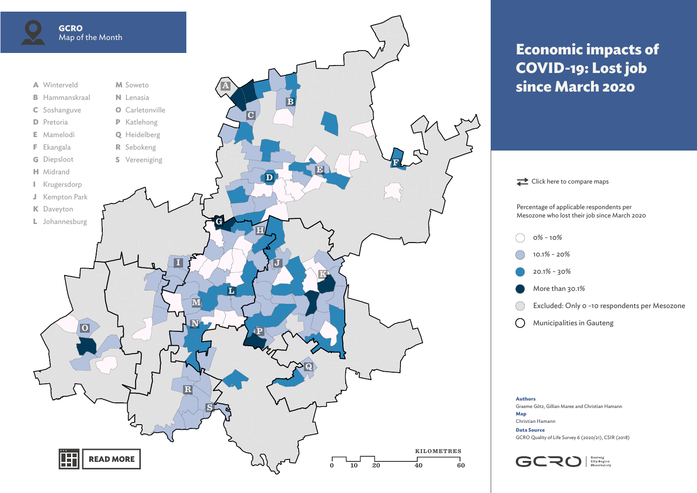<span id="page-0-0"></span>

## **Economic impacts of COVID-19: Lost job since March 2020**



**Authors** Graeme Götz, Gillian Maree and Christian Hamann **Map** Christian Hamann

**Data Source** GCRO Quality of Life Survey 6 (2020/21), CSIR (2018)